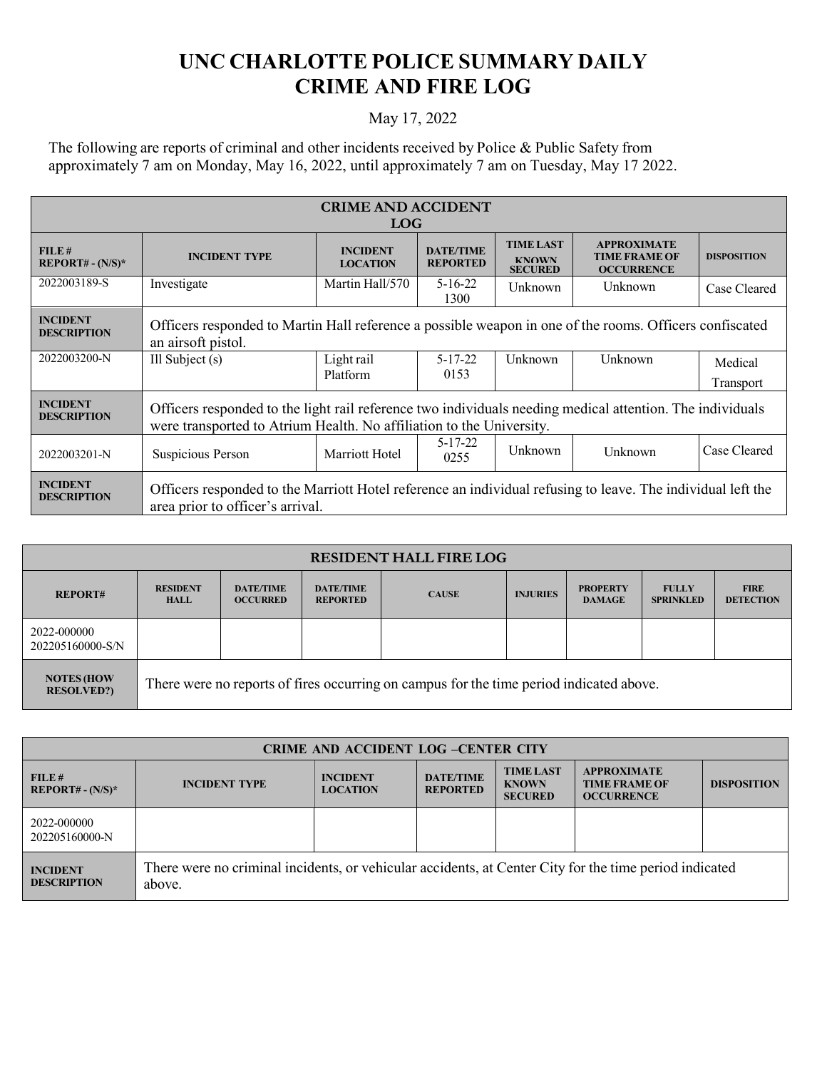## **UNC CHARLOTTE POLICE SUMMARY DAILY CRIME AND FIRE LOG**

## May 17, 2022

The following are reports of criminal and other incidents received by Police & Public Safety from approximately 7 am on Monday, May 16, 2022, until approximately 7 am on Tuesday, May 17 2022.

| <b>CRIME AND ACCIDENT</b><br><b>LOG</b> |                                                                                                                                                                                   |                                    |                                     |                                                    |                                                                 |                      |
|-----------------------------------------|-----------------------------------------------------------------------------------------------------------------------------------------------------------------------------------|------------------------------------|-------------------------------------|----------------------------------------------------|-----------------------------------------------------------------|----------------------|
| FILE#<br>$REPORT# - (N/S)*$             | <b>INCIDENT TYPE</b>                                                                                                                                                              | <b>INCIDENT</b><br><b>LOCATION</b> | <b>DATE/TIME</b><br><b>REPORTED</b> | <b>TIME LAST</b><br><b>KNOWN</b><br><b>SECURED</b> | <b>APPROXIMATE</b><br><b>TIME FRAME OF</b><br><b>OCCURRENCE</b> | <b>DISPOSITION</b>   |
| 2022003189-S                            | Investigate                                                                                                                                                                       | Martin Hall/570                    | $5 - 16 - 22$<br>1300               | Unknown                                            | Unknown                                                         | Case Cleared         |
| <b>INCIDENT</b><br><b>DESCRIPTION</b>   | Officers responded to Martin Hall reference a possible weapon in one of the rooms. Officers confiscated<br>an airsoft pistol.                                                     |                                    |                                     |                                                    |                                                                 |                      |
| 2022003200-N                            | Ill Subject $(s)$                                                                                                                                                                 | Light rail<br>Platform             | $5 - 17 - 22$<br>0153               | Unknown                                            | Unknown                                                         | Medical<br>Transport |
| <b>INCIDENT</b><br><b>DESCRIPTION</b>   | Officers responded to the light rail reference two individuals needing medical attention. The individuals<br>were transported to Atrium Health. No affiliation to the University. |                                    |                                     |                                                    |                                                                 |                      |
| 2022003201-N                            | Suspicious Person                                                                                                                                                                 | Marriott Hotel                     | $5 - 17 - 22$<br>0255               | Unknown                                            | Unknown                                                         | Case Cleared         |
| <b>INCIDENT</b><br><b>DESCRIPTION</b>   | Officers responded to the Marriott Hotel reference an individual refusing to leave. The individual left the<br>area prior to officer's arrival.                                   |                                    |                                     |                                                    |                                                                 |                      |

| <b>RESIDENT HALL FIRE LOG</b>         |                                |                                     |                                     |                                                                                         |                 |                                  |                                  |                                 |
|---------------------------------------|--------------------------------|-------------------------------------|-------------------------------------|-----------------------------------------------------------------------------------------|-----------------|----------------------------------|----------------------------------|---------------------------------|
| <b>REPORT#</b>                        | <b>RESIDENT</b><br><b>HALL</b> | <b>DATE/TIME</b><br><b>OCCURRED</b> | <b>DATE/TIME</b><br><b>REPORTED</b> | <b>CAUSE</b>                                                                            | <b>INJURIES</b> | <b>PROPERTY</b><br><b>DAMAGE</b> | <b>FULLY</b><br><b>SPRINKLED</b> | <b>FIRE</b><br><b>DETECTION</b> |
| 2022-000000<br>202205160000-S/N       |                                |                                     |                                     |                                                                                         |                 |                                  |                                  |                                 |
| <b>NOTES (HOW</b><br><b>RESOLVED?</b> |                                |                                     |                                     | There were no reports of fires occurring on campus for the time period indicated above. |                 |                                  |                                  |                                 |

| <b>CRIME AND ACCIDENT LOG -CENTER CITY</b> |                                                                                                                  |                                    |                                     |                                                    |                                                                 |                    |
|--------------------------------------------|------------------------------------------------------------------------------------------------------------------|------------------------------------|-------------------------------------|----------------------------------------------------|-----------------------------------------------------------------|--------------------|
| FILE#<br>$REPORT# - (N/S)*$                | <b>INCIDENT TYPE</b>                                                                                             | <b>INCIDENT</b><br><b>LOCATION</b> | <b>DATE/TIME</b><br><b>REPORTED</b> | <b>TIME LAST</b><br><b>KNOWN</b><br><b>SECURED</b> | <b>APPROXIMATE</b><br><b>TIME FRAME OF</b><br><b>OCCURRENCE</b> | <b>DISPOSITION</b> |
| 2022-000000<br>202205160000-N              |                                                                                                                  |                                    |                                     |                                                    |                                                                 |                    |
| <b>INCIDENT</b><br><b>DESCRIPTION</b>      | There were no criminal incidents, or vehicular accidents, at Center City for the time period indicated<br>above. |                                    |                                     |                                                    |                                                                 |                    |